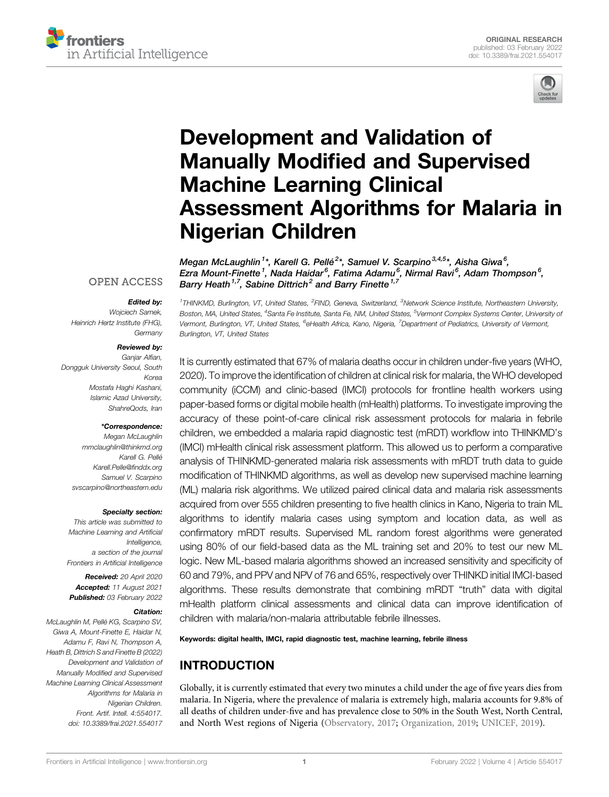



# [Development and Validation of](https://www.frontiersin.org/articles/10.3389/frai.2021.554017/full) Manually Modifi[ed and Supervised](https://www.frontiersin.org/articles/10.3389/frai.2021.554017/full) [Machine Learning Clinical](https://www.frontiersin.org/articles/10.3389/frai.2021.554017/full) [Assessment Algorithms for Malaria in](https://www.frontiersin.org/articles/10.3389/frai.2021.554017/full) [Nigerian Children](https://www.frontiersin.org/articles/10.3389/frai.2021.554017/full)

Megan McLaughlin<sup>1</sup>\*, Karell G. Pellé<sup>2</sup>\*, Samuel V. Scarpino<sup>3,4,5</sup>\*, Aisha Giwa<sup>6</sup>, Ezra Mount-Finette<sup>1</sup>, Nada Haidar<sup>6</sup>, Fatima Adamu<sup>6</sup>, Nirmal Ravi<sup>6</sup>, Adam Thompson<sup>6</sup>, Barry Heath<sup>1,7</sup>, Sabine Dittrich<sup>2</sup> and Barry Finette<sup>1,7</sup>

#### **OPEN ACCESS**

#### Edited by:

Wojciech Samek, Heinrich Hertz Institute (FHG), **Germany** 

#### Reviewed by:

Ganiar Alfian. Dongguk University Seoul, South Korea Mostafa Haghi Kashani, Islamic Azad University, ShahreQods, Iran

#### \*Correspondence:

Megan McLaughlin [mmclaughlin@thinkmd.org](mailto:mmclaughlin@thinkmd.org) Karell G. Pellé [Karell.Pelle@](mailto:Karell.Pelle@finddx.org)finddx.org Samuel V. Scarpino [svscarpino@northeastern.edu](mailto:svscarpino@northeastern.edu)

#### Specialty section:

This article was submitted to Machine Learning and Artificial Intelligence, a section of the journal Frontiers in Artificial Intelligence

Received: 20 April 2020 Accepted: 11 August 2021 Published: 03 February 2022

#### Citation:

McLaughlin M, Pellé KG, Scarpino SV, Giwa A, Mount-Finette E, Haidar N, Adamu F, Ravi N, Thompson A, Heath B, Dittrich S and Finette B (2022) Development and Validation of Manually Modified and Supervised Machine Learning Clinical Assessment Algorithms for Malaria in Nigerian Children. Front. Artif. Intell. 4:554017. doi: [10.3389/frai.2021.554017](https://doi.org/10.3389/frai.2021.554017)

<sup>1</sup>THINKMD, Burlington, VT, United States, <sup>2</sup>FIND, Geneva, Switzerland, <sup>3</sup>Network Science Institute, Northeastern University, Boston, MA, United States, <sup>4</sup>Santa Fe Institute, Santa Fe, NM, United States, <sup>5</sup>Vermont Complex Systems Center, University o*f* Vermont, Burlington, VT, United States, <sup>6</sup>eHealth Africa, Kano, Nigeria, <sup>7</sup>Department of Pediatrics, University of Vermont, Burlington, VT, United States

It is currently estimated that 67% of malaria deaths occur in children under-five years (WHO, 2020). To improve the identification of children at clinical risk for malaria, the WHO developed community (iCCM) and clinic-based (IMCI) protocols for frontline health workers using paper-based forms or digital mobile health (mHealth) platforms. To investigate improving the accuracy of these point-of-care clinical risk assessment protocols for malaria in febrile children, we embedded a malaria rapid diagnostic test (mRDT) workflow into THINKMD's (IMCI) mHealth clinical risk assessment platform. This allowed us to perform a comparative analysis of THINKMD-generated malaria risk assessments with mRDT truth data to guide modification of THINKMD algorithms, as well as develop new supervised machine learning (ML) malaria risk algorithms. We utilized paired clinical data and malaria risk assessments acquired from over 555 children presenting to five health clinics in Kano, Nigeria to train ML algorithms to identify malaria cases using symptom and location data, as well as confirmatory mRDT results. Supervised ML random forest algorithms were generated using 80% of our field-based data as the ML training set and 20% to test our new ML logic. New ML-based malaria algorithms showed an increased sensitivity and specificity of 60 and 79%, and PPV and NPV of 76 and 65%, respectively over THINKD initial IMCI-based algorithms. These results demonstrate that combining mRDT "truth" data with digital mHealth platform clinical assessments and clinical data can improve identification of children with malaria/non-malaria attributable febrile illnesses.

Keywords: digital health, IMCI, rapid diagnostic test, machine learning, febrile illness

## INTRODUCTION

Globally, it is currently estimated that every two minutes a child under the age of five years dies from malaria. In Nigeria, where the prevalence of malaria is extremely high, malaria accounts for 9.8% of all deaths of children under-five and has prevalence close to 50% in the South West, North Central, and North West regions of Nigeria [\(Observatory, 2017](#page-9-0); [Organization, 2019](#page-10-0); [UNICEF, 2019\)](#page-10-1).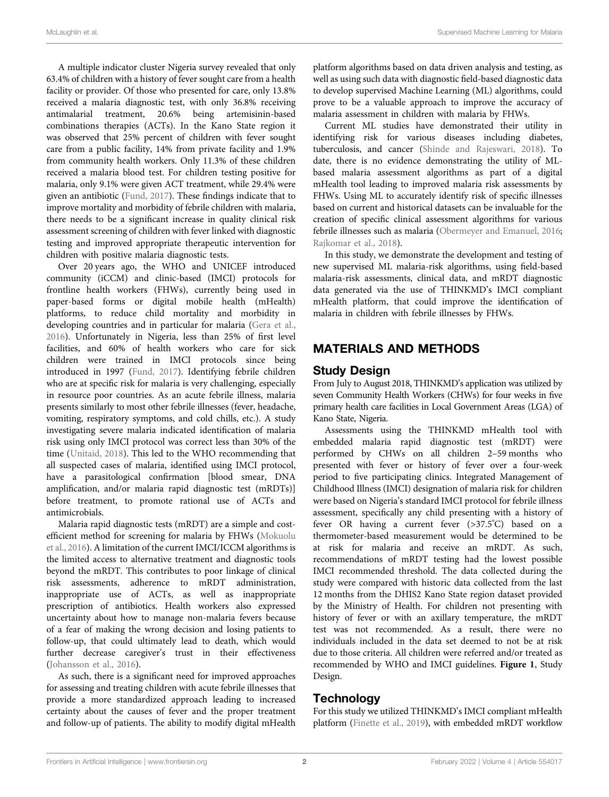A multiple indicator cluster Nigeria survey revealed that only 63.4% of children with a history of fever sought care from a health facility or provider. Of those who presented for care, only 13.8% received a malaria diagnostic test, with only 36.8% receiving antimalarial treatment, 20.6% being artemisinin-based combinations therapies (ACTs). In the Kano State region it was observed that 25% percent of children with fever sought care from a public facility, 14% from private facility and 1.9% from community health workers. Only 11.3% of these children received a malaria blood test. For children testing positive for malaria, only 9.1% were given ACT treatment, while 29.4% were given an antibiotic [\(Fund, 2017](#page-9-1)). These findings indicate that to improve mortality and morbidity of febrile children with malaria, there needs to be a significant increase in quality clinical risk assessment screening of children with fever linked with diagnostic testing and improved appropriate therapeutic intervention for children with positive malaria diagnostic tests.

Over 20 years ago, the WHO and UNICEF introduced community (iCCM) and clinic-based (IMCI) protocols for frontline health workers (FHWs), currently being used in paper-based forms or digital mobile health (mHealth) platforms, to reduce child mortality and morbidity in developing countries and in particular for malaria ([Gera et al.,](#page-9-2) [2016](#page-9-2)). Unfortunately in Nigeria, less than 25% of first level facilities, and 60% of health workers who care for sick children were trained in IMCI protocols since being introduced in 1997 [\(Fund, 2017\)](#page-9-1). Identifying febrile children who are at specific risk for malaria is very challenging, especially in resource poor countries. As an acute febrile illness, malaria presents similarly to most other febrile illnesses (fever, headache, vomiting, respiratory symptoms, and cold chills, etc.). A study investigating severe malaria indicated identification of malaria risk using only IMCI protocol was correct less than 30% of the time [\(Unitaid, 2018](#page-10-2)). This led to the WHO recommending that all suspected cases of malaria, identified using IMCI protocol, have a parasitological confirmation [blood smear, DNA amplification, and/or malaria rapid diagnostic test (mRDTs)] before treatment, to promote rational use of ACTs and antimicrobials.

Malaria rapid diagnostic tests (mRDT) are a simple and costefficient method for screening for malaria by FHWs [\(Mokuolu](#page-9-3) [et al., 2016\)](#page-9-3). A limitation of the current IMCI/ICCM algorithms is the limited access to alternative treatment and diagnostic tools beyond the mRDT. This contributes to poor linkage of clinical risk assessments, adherence to mRDT administration, inappropriate use of ACTs, as well as inappropriate prescription of antibiotics. Health workers also expressed uncertainty about how to manage non-malaria fevers because of a fear of making the wrong decision and losing patients to follow-up, that could ultimately lead to death, which would further decrease caregiver's trust in their effectiveness ([Johansson et al., 2016](#page-9-4)).

As such, there is a significant need for improved approaches for assessing and treating children with acute febrile illnesses that provide a more standardized approach leading to increased certainty about the causes of fever and the proper treatment and follow-up of patients. The ability to modify digital mHealth platform algorithms based on data driven analysis and testing, as well as using such data with diagnostic field-based diagnostic data to develop supervised Machine Learning (ML) algorithms, could prove to be a valuable approach to improve the accuracy of malaria assessment in children with malaria by FHWs.

Current ML studies have demonstrated their utility in identifying risk for various diseases including diabetes, tuberculosis, and cancer [\(Shinde and Rajeswari, 2018](#page-10-3)). To date, there is no evidence demonstrating the utility of MLbased malaria assessment algorithms as part of a digital mHealth tool leading to improved malaria risk assessments by FHWs. Using ML to accurately identify risk of specific illnesses based on current and historical datasets can be invaluable for the creation of specific clinical assessment algorithms for various febrile illnesses such as malaria ([Obermeyer and Emanuel, 2016;](#page-9-5) [Rajkomar et al., 2018](#page-10-4)).

In this study, we demonstrate the development and testing of new supervised ML malaria-risk algorithms, using field-based malaria-risk assessments, clinical data, and mRDT diagnostic data generated via the use of THINKMD's IMCI compliant mHealth platform, that could improve the identification of malaria in children with febrile illnesses by FHWs.

## MATERIALS AND METHODS

#### Study Design

From July to August 2018, THINKMD's application was utilized by seven Community Health Workers (CHWs) for four weeks in five primary health care facilities in Local Government Areas (LGA) of Kano State, Nigeria.

Assessments using the THINKMD mHealth tool with embedded malaria rapid diagnostic test (mRDT) were performed by CHWs on all children 2–59 months who presented with fever or history of fever over a four-week period to five participating clinics. Integrated Management of Childhood Illness (IMCI) designation of malaria risk for children were based on Nigeria's standard IMCI protocol for febrile illness assessment, specifically any child presenting with a history of fever OR having a current fever (>37.5° C) based on a thermometer-based measurement would be determined to be at risk for malaria and receive an mRDT. As such, recommendations of mRDT testing had the lowest possible IMCI recommended threshold. The data collected during the study were compared with historic data collected from the last 12 months from the DHIS2 Kano State region dataset provided by the Ministry of Health. For children not presenting with history of fever or with an axillary temperature, the mRDT test was not recommended. As a result, there were no individuals included in the data set deemed to not be at risk due to those criteria. All children were referred and/or treated as recommended by WHO and IMCI guidelines. [Figure 1](#page-2-0), Study Design.

#### **Technology**

For this study we utilized THINKMD's IMCI compliant mHealth platform [\(Finette et al., 2019\)](#page-9-6), with embedded mRDT workflow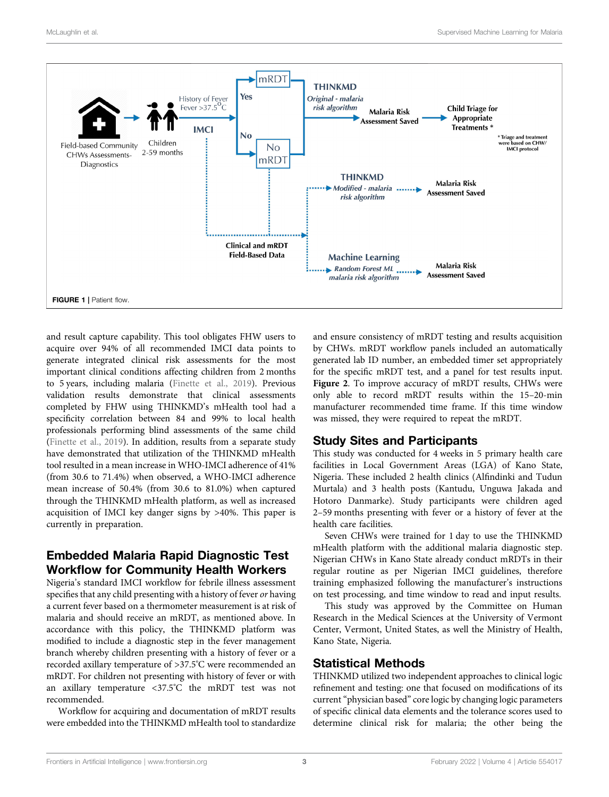

<span id="page-2-0"></span>and result capture capability. This tool obligates FHW users to acquire over 94% of all recommended IMCI data points to generate integrated clinical risk assessments for the most important clinical conditions affecting children from 2 months to 5 years, including malaria ([Finette et al., 2019](#page-9-6)). Previous validation results demonstrate that clinical assessments completed by FHW using THINKMD's mHealth tool had a specificity correlation between 84 and 99% to local health professionals performing blind assessments of the same child ([Finette et al., 2019](#page-9-6)). In addition, results from a separate study have demonstrated that utilization of the THINKMD mHealth tool resulted in a mean increase in WHO-IMCI adherence of 41% (from 30.6 to 71.4%) when observed, a WHO-IMCI adherence mean increase of 50.4% (from 30.6 to 81.0%) when captured through the THINKMD mHealth platform, as well as increased acquisition of IMCI key danger signs by >40%. This paper is currently in preparation.

## Embedded Malaria Rapid Diagnostic Test Workflow for Community Health Workers

Nigeria's standard IMCI workflow for febrile illness assessment specifies that any child presenting with a history of fever or having a current fever based on a thermometer measurement is at risk of malaria and should receive an mRDT, as mentioned above. In accordance with this policy, the THINKMD platform was modified to include a diagnostic step in the fever management branch whereby children presenting with a history of fever or a recorded axillary temperature of >37.5° C were recommended an mRDT. For children not presenting with history of fever or with an axillary temperature <37.5° C the mRDT test was not recommended.

Workflow for acquiring and documentation of mRDT results were embedded into the THINKMD mHealth tool to standardize

and ensure consistency of mRDT testing and results acquisition by CHWs. mRDT workflow panels included an automatically generated lab ID number, an embedded timer set appropriately for the specific mRDT test, and a panel for test results input. [Figure 2](#page-3-0). To improve accuracy of mRDT results, CHWs were only able to record mRDT results within the 15–20-min manufacturer recommended time frame. If this time window was missed, they were required to repeat the mRDT.

#### Study Sites and Participants

This study was conducted for 4 weeks in 5 primary health care facilities in Local Government Areas (LGA) of Kano State, Nigeria. These included 2 health clinics (Alfindinki and Tudun Murtala) and 3 health posts (Kantudu, Unguwa Jakada and Hotoro Danmarke). Study participants were children aged 2–59 months presenting with fever or a history of fever at the health care facilities.

Seven CHWs were trained for 1 day to use the THINKMD mHealth platform with the additional malaria diagnostic step. Nigerian CHWs in Kano State already conduct mRDTs in their regular routine as per Nigerian IMCI guidelines, therefore training emphasized following the manufacturer's instructions on test processing, and time window to read and input results.

This study was approved by the Committee on Human Research in the Medical Sciences at the University of Vermont Center, Vermont, United States, as well the Ministry of Health, Kano State, Nigeria.

#### Statistical Methods

THINKMD utilized two independent approaches to clinical logic refinement and testing: one that focused on modifications of its current"physician based" core logic by changing logic parameters of specific clinical data elements and the tolerance scores used to determine clinical risk for malaria; the other being the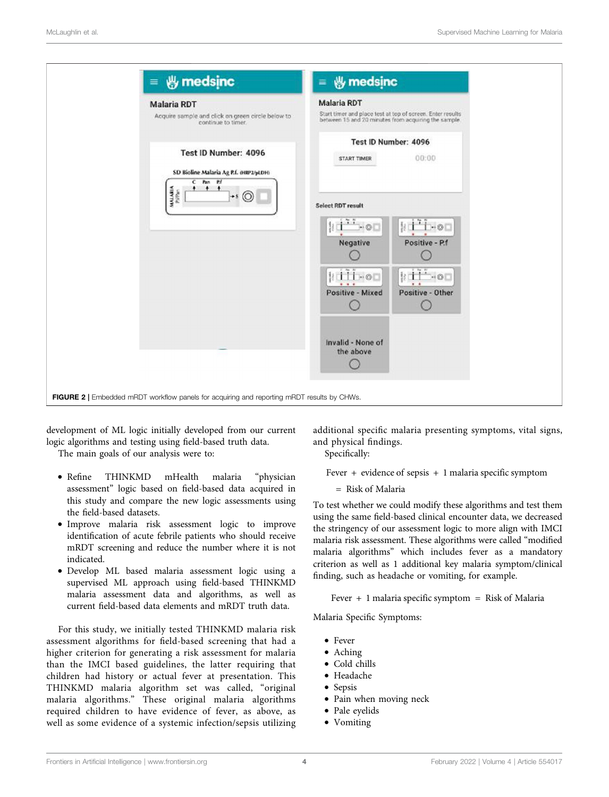

<span id="page-3-0"></span>development of ML logic initially developed from our current logic algorithms and testing using field-based truth data.

The main goals of our analysis were to:

- Refine THINKMD mHealth malaria "physician assessment" logic based on field-based data acquired in this study and compare the new logic assessments using the field-based datasets.
- Improve malaria risk assessment logic to improve identification of acute febrile patients who should receive mRDT screening and reduce the number where it is not indicated.
- Develop ML based malaria assessment logic using a supervised ML approach using field-based THINKMD malaria assessment data and algorithms, as well as current field-based data elements and mRDT truth data.

For this study, we initially tested THINKMD malaria risk assessment algorithms for field-based screening that had a higher criterion for generating a risk assessment for malaria than the IMCI based guidelines, the latter requiring that children had history or actual fever at presentation. This THINKMD malaria algorithm set was called, "original malaria algorithms." These original malaria algorithms required children to have evidence of fever, as above, as well as some evidence of a systemic infection/sepsis utilizing

additional specific malaria presenting symptoms, vital signs, and physical findings.

Specifically:

Fever + evidence of sepsis + 1 malaria specific symptom

- Risk of Malaria

To test whether we could modify these algorithms and test them using the same field-based clinical encounter data, we decreased the stringency of our assessment logic to more align with IMCI malaria risk assessment. These algorithms were called "modified malaria algorithms" which includes fever as a mandatory criterion as well as 1 additional key malaria symptom/clinical finding, such as headache or vomiting, for example.

 $Fever + 1$  malaria specific symptom  $=$  Risk of Malaria

Malaria Specific Symptoms:

- Fever
- Aching
- Cold chills
- Headache
- Sepsis
- Pain when moving neck
- Pale eyelids
- Vomiting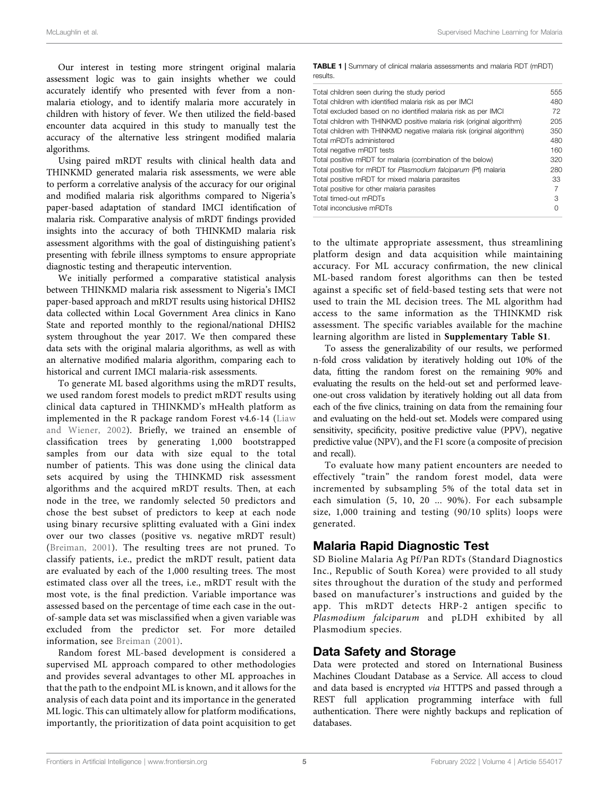Our interest in testing more stringent original malaria assessment logic was to gain insights whether we could accurately identify who presented with fever from a nonmalaria etiology, and to identify malaria more accurately in children with history of fever. We then utilized the field-based encounter data acquired in this study to manually test the accuracy of the alternative less stringent modified malaria algorithms.

Using paired mRDT results with clinical health data and THINKMD generated malaria risk assessments, we were able to perform a correlative analysis of the accuracy for our original and modified malaria risk algorithms compared to Nigeria's paper-based adaptation of standard IMCI identification of malaria risk. Comparative analysis of mRDT findings provided insights into the accuracy of both THINKMD malaria risk assessment algorithms with the goal of distinguishing patient's presenting with febrile illness symptoms to ensure appropriate diagnostic testing and therapeutic intervention.

We initially performed a comparative statistical analysis between THINKMD malaria risk assessment to Nigeria's IMCI paper-based approach and mRDT results using historical DHIS2 data collected within Local Government Area clinics in Kano State and reported monthly to the regional/national DHIS2 system throughout the year 2017. We then compared these data sets with the original malaria algorithms, as well as with an alternative modified malaria algorithm, comparing each to historical and current IMCI malaria-risk assessments.

To generate ML based algorithms using the mRDT results, we used random forest models to predict mRDT results using clinical data captured in THINKMD's mHealth platform as implemented in the R package random Forest v4.6-14 [\(Liaw](#page-9-7) [and Wiener, 2002](#page-9-7)). Briefly, we trained an ensemble of classification trees by generating 1,000 bootstrapped samples from our data with size equal to the total number of patients. This was done using the clinical data sets acquired by using the THINKMD risk assessment algorithms and the acquired mRDT results. Then, at each node in the tree, we randomly selected 50 predictors and chose the best subset of predictors to keep at each node using binary recursive splitting evaluated with a Gini index over our two classes (positive vs. negative mRDT result) ([Breiman, 2001](#page-9-8)). The resulting trees are not pruned. To classify patients, i.e., predict the mRDT result, patient data are evaluated by each of the 1,000 resulting trees. The most estimated class over all the trees, i.e., mRDT result with the most vote, is the final prediction. Variable importance was assessed based on the percentage of time each case in the outof-sample data set was misclassified when a given variable was excluded from the predictor set. For more detailed information, see [Breiman \(2001\)](#page-9-8).

Random forest ML-based development is considered a supervised ML approach compared to other methodologies and provides several advantages to other ML approaches in that the path to the endpoint ML is known, and it allows for the analysis of each data point and its importance in the generated ML logic. This can ultimately allow for platform modifications, importantly, the prioritization of data point acquisition to get <span id="page-4-0"></span>TABLE 1 | Summary of clinical malaria assessments and malaria RDT (mRDT) results.

| Total children seen during the study period                            | 555 |
|------------------------------------------------------------------------|-----|
| Total children with identified malaria risk as per IMCI                | 480 |
| Total excluded based on no identified malaria risk as per IMCI         | 72  |
| Total children with THINKMD positive malaria risk (original algorithm) | 205 |
| Total children with THINKMD negative malaria risk (original algorithm) | 350 |
| Total mRDTs administered                                               | 480 |
| Total negative mRDT tests                                              | 160 |
| Total positive mRDT for malaria (combination of the below)             | 320 |
| Total positive for mRDT for Plasmodium falciparum (Pf) malaria         | 280 |
| Total positive mRDT for mixed malaria parasites                        | 33  |
| Total positive for other malaria parasites                             | 7   |
| Total timed-out mRDTs                                                  | З   |
| Total inconclusive mRDTs                                               | 0   |
|                                                                        |     |

to the ultimate appropriate assessment, thus streamlining platform design and data acquisition while maintaining accuracy. For ML accuracy confirmation, the new clinical ML-based random forest algorithms can then be tested against a specific set of field-based testing sets that were not used to train the ML decision trees. The ML algorithm had access to the same information as the THINKMD risk assessment. The specific variables available for the machine learning algorithm are listed in [Supplementary Table S1](#page-9-9).

To assess the generalizability of our results, we performed n-fold cross validation by iteratively holding out 10% of the data, fitting the random forest on the remaining 90% and evaluating the results on the held-out set and performed leaveone-out cross validation by iteratively holding out all data from each of the five clinics, training on data from the remaining four and evaluating on the held-out set. Models were compared using sensitivity, specificity, positive predictive value (PPV), negative predictive value (NPV), and the F1 score (a composite of precision and recall).

To evaluate how many patient encounters are needed to effectively "train" the random forest model, data were incremented by subsampling 5% of the total data set in each simulation (5, 10, 20 ... 90%). For each subsample size, 1,000 training and testing (90/10 splits) loops were generated.

#### Malaria Rapid Diagnostic Test

SD Bioline Malaria Ag Pf/Pan RDTs (Standard Diagnostics Inc., Republic of South Korea) were provided to all study sites throughout the duration of the study and performed based on manufacturer's instructions and guided by the app. This mRDT detects HRP-2 antigen specific to Plasmodium falciparum and pLDH exhibited by all Plasmodium species.

#### Data Safety and Storage

Data were protected and stored on International Business Machines Cloudant Database as a Service. All access to cloud and data based is encrypted via HTTPS and passed through a REST full application programming interface with full authentication. There were nightly backups and replication of databases.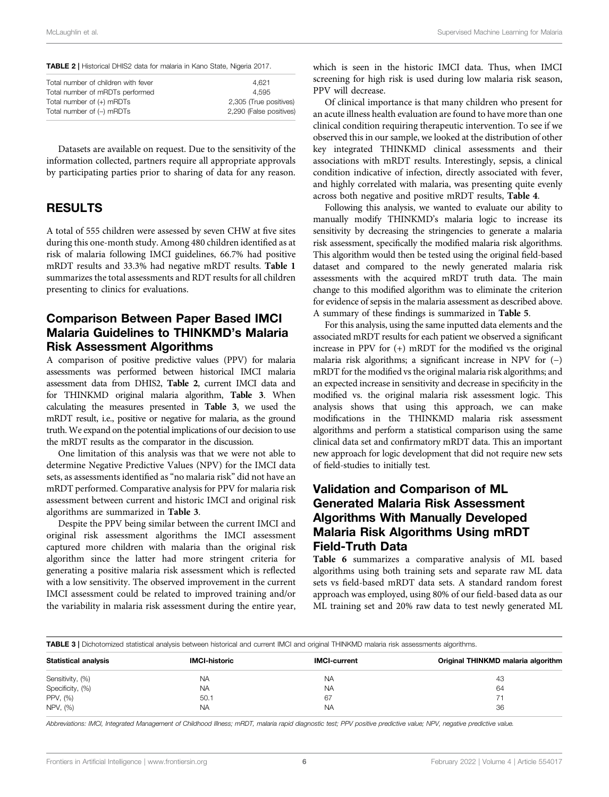<span id="page-5-0"></span>TABLE 2 | Historical DHIS2 data for malaria in Kano State, Nigeria 2017.

| Total number of children with fever | 4.621                   |
|-------------------------------------|-------------------------|
| Total number of mRDTs performed     | 4.595                   |
| Total number of (+) mRDTs           | 2,305 (True positives)  |
| Total number of (-) mRDTs           | 2,290 (False positives) |
|                                     |                         |

Datasets are available on request. Due to the sensitivity of the information collected, partners require all appropriate approvals by participating parties prior to sharing of data for any reason.

#### RESULTS

A total of 555 children were assessed by seven CHW at five sites during this one-month study. Among 480 children identified as at risk of malaria following IMCI guidelines, 66.7% had positive mRDT results and 33.3% had negative mRDT results. [Table 1](#page-4-0) summarizes the total assessments and RDT results for all children presenting to clinics for evaluations.

#### Comparison Between Paper Based IMCI Malaria Guidelines to THINKMD's Malaria Risk Assessment Algorithms

A comparison of positive predictive values (PPV) for malaria assessments was performed between historical IMCI malaria assessment data from DHIS2, [Table 2](#page-5-0), current IMCI data and for THINKMD original malaria algorithm, [Table 3](#page-5-1). When calculating the measures presented in [Table 3](#page-5-1), we used the mRDT result, i.e., positive or negative for malaria, as the ground truth. We expand on the potential implications of our decision to use the mRDT results as the comparator in the discussion.

One limitation of this analysis was that we were not able to determine Negative Predictive Values (NPV) for the IMCI data sets, as assessments identified as "no malaria risk" did not have an mRDT performed. Comparative analysis for PPV for malaria risk assessment between current and historic IMCI and original risk algorithms are summarized in [Table 3](#page-5-1).

Despite the PPV being similar between the current IMCI and original risk assessment algorithms the IMCI assessment captured more children with malaria than the original risk algorithm since the latter had more stringent criteria for generating a positive malaria risk assessment which is reflected with a low sensitivity. The observed improvement in the current IMCI assessment could be related to improved training and/or the variability in malaria risk assessment during the entire year,

which is seen in the historic IMCI data. Thus, when IMCI screening for high risk is used during low malaria risk season, PPV will decrease.

Of clinical importance is that many children who present for an acute illness health evaluation are found to have more than one clinical condition requiring therapeutic intervention. To see if we observed this in our sample, we looked at the distribution of other key integrated THINKMD clinical assessments and their associations with mRDT results. Interestingly, sepsis, a clinical condition indicative of infection, directly associated with fever, and highly correlated with malaria, was presenting quite evenly across both negative and positive mRDT results, [Table 4](#page-6-0).

Following this analysis, we wanted to evaluate our ability to manually modify THINKMD's malaria logic to increase its sensitivity by decreasing the stringencies to generate a malaria risk assessment, specifically the modified malaria risk algorithms. This algorithm would then be tested using the original field-based dataset and compared to the newly generated malaria risk assessments with the acquired mRDT truth data. The main change to this modified algorithm was to eliminate the criterion for evidence of sepsis in the malaria assessment as described above. A summary of these findings is summarized in [Table 5](#page-6-1).

For this analysis, using the same inputted data elements and the associated mRDT results for each patient we observed a significant increase in PPV for (+) mRDT for the modified vs the original malaria risk algorithms; a significant increase in NPV for (−) mRDT for the modified vs the original malaria risk algorithms; and an expected increase in sensitivity and decrease in specificity in the modified vs. the original malaria risk assessment logic. This analysis shows that using this approach, we can make modifications in the THINKMD malaria risk assessment algorithms and perform a statistical comparison using the same clinical data set and confirmatory mRDT data. This an important new approach for logic development that did not require new sets of field-studies to initially test.

## Validation and Comparison of ML Generated Malaria Risk Assessment Algorithms With Manually Developed Malaria Risk Algorithms Using mRDT Field-Truth Data

[Table 6](#page-6-2) summarizes a comparative analysis of ML based algorithms using both training sets and separate raw ML data sets vs field-based mRDT data sets. A standard random forest approach was employed, using 80% of our field-based data as our ML training set and 20% raw data to test newly generated ML

<span id="page-5-1"></span>TABLE 3 | Dichotomized statistical analysis between historical and current IMCI and original THINKMD malaria risk assessments algorithms.

| <b>IMCI-historic</b> | <b>IMCI-current</b> | Original THINKMD malaria algorithm |
|----------------------|---------------------|------------------------------------|
| <b>NA</b>            | <b>NA</b>           | 43                                 |
| <b>NA</b>            | <b>NA</b>           | 64                                 |
| 50.1                 | 67                  |                                    |
| <b>NA</b>            | <b>NA</b>           | 36                                 |
|                      |                     |                                    |

Abbreviations: IMCI, Integrated Management of Childhood Illness; mRDT, malaria rapid diagnostic test; PPV positive predictive value; NPV, negative predictive value.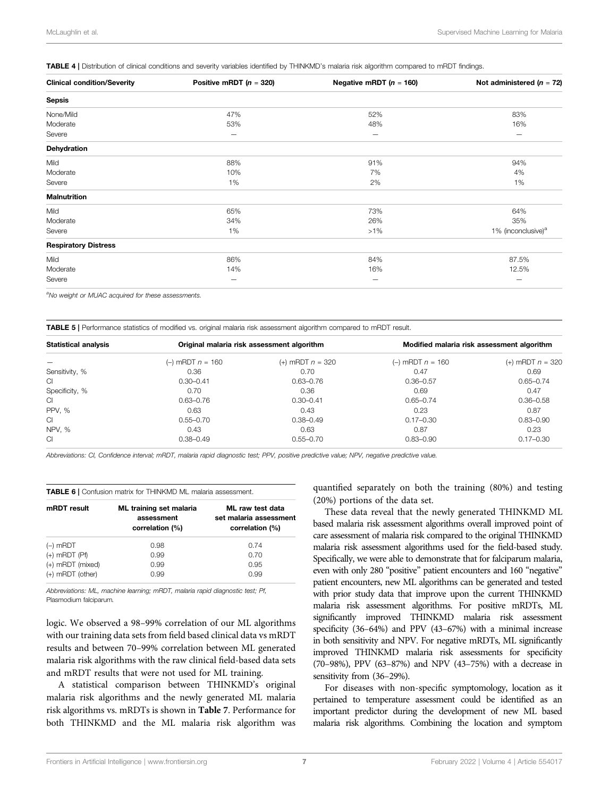<span id="page-6-0"></span>**TABLE 4 | Distribution of clinical conditions and severity variables identified by THINKMD's malaria risk algorithm compared to mRDT findings.** 

| <b>Clinical condition/Severity</b> | Positive mRDT ( $n = 320$ ) | Negative mRDT ( $n = 160$ ) | Not administered ( $n = 72$ )  |
|------------------------------------|-----------------------------|-----------------------------|--------------------------------|
| <b>Sepsis</b>                      |                             |                             |                                |
| None/Mild                          | 47%                         | 52%                         | 83%                            |
| Moderate                           | 53%                         | 48%                         | 16%                            |
| Severe                             | $\qquad \qquad$             | $\overline{\phantom{m}}$    | $\overline{\phantom{m}}$       |
| <b>Dehydration</b>                 |                             |                             |                                |
| Mild                               | 88%                         | 91%                         | 94%                            |
| Moderate                           | 10%                         | 7%                          | 4%                             |
| Severe                             | 1%                          | 2%                          | 1%                             |
| <b>Malnutrition</b>                |                             |                             |                                |
| Mild                               | 65%                         | 73%                         | 64%                            |
| Moderate                           | 34%                         | 26%                         | 35%                            |
| Severe                             | 1%                          | $>1\%$                      | 1% (inconclusive) <sup>a</sup> |
| <b>Respiratory Distress</b>        |                             |                             |                                |
| Mild                               | 86%                         | 84%                         | 87.5%                          |
| Moderate                           | 14%                         | 16%                         | 12.5%                          |
| Severe                             | -                           | -                           | $\overline{\phantom{0}}$       |

<sup>a</sup>No weight or MUAC acquired for these assessments.

<span id="page-6-1"></span>TABLE 5 | Performance statistics of modified vs. original malaria risk assessment algorithm compared to mRDT result.

| <b>Statistical analysis</b> | Original malaria risk assessment algorithm |                    | Modified malaria risk assessment algorithm |                    |
|-----------------------------|--------------------------------------------|--------------------|--------------------------------------------|--------------------|
|                             | (-) mRDT $n = 160$                         | (+) mRDT $n = 320$ | (-) mRDT $n = 160$                         | (+) mRDT $n = 320$ |
| Sensitivity, %              | 0.36                                       | 0.70               | 0.47                                       | 0.69               |
| CI.                         | $0.30 - 0.41$                              | 0.63-0.76          | $0.36 - 0.57$                              | $0.65 - 0.74$      |
| Specificity, %              | 0.70                                       | 0.36               | 0.69                                       | 0.47               |
| CI.                         | $0.63 - 0.76$                              | $0.30 - 0.41$      | $0.65 - 0.74$                              | $0.36 - 0.58$      |
| PPV, %                      | 0.63                                       | 0.43               | 0.23                                       | 0.87               |
| CI.                         | $0.55 - 0.70$                              | $0.38 - 0.49$      | $0.17 - 0.30$                              | $0.83 - 0.90$      |
| NPV, %                      | 0.43                                       | 0.63               | 0.87                                       | 0.23               |
| CL.                         | $0.38 - 0.49$                              | $0.55 - 0.70$      | $0.83 - 0.90$                              | $0.17 - 0.30$      |

Abbreviations: CI, Confidence interval; mRDT, malaria rapid diagnostic test; PPV, positive predictive value; NPV, negative predictive value.

<span id="page-6-2"></span>

| TABLE 6   Confusion matrix for THINKMD ML malaria assessment. |                                                          |                                                               |  |
|---------------------------------------------------------------|----------------------------------------------------------|---------------------------------------------------------------|--|
| mRDT result                                                   | ML training set malaria<br>assessment<br>correlation (%) | ML raw test data<br>set malaria assessment<br>correlation (%) |  |
| $(-)$ mRDT                                                    | 0.98                                                     | 0.74                                                          |  |
| $(+)$ mRDT $(Pf)$                                             | 0.99                                                     | 0.70                                                          |  |
| (+) mRDT (mixed)                                              | 0.99                                                     | 0.95                                                          |  |
| (+) mRDT (other)                                              | 0.99                                                     | 0.99                                                          |  |

Abbreviations: ML, machine learning; mRDT, malaria rapid diagnostic test; Pf, Plasmodium falciparum.

logic. We observed a 98–99% correlation of our ML algorithms with our training data sets from field based clinical data vs mRDT results and between 70–99% correlation between ML generated malaria risk algorithms with the raw clinical field-based data sets and mRDT results that were not used for ML training.

A statistical comparison between THINKMD's original malaria risk algorithms and the newly generated ML malaria risk algorithms vs. mRDTs is shown in [Table 7](#page-7-0). Performance for both THINKMD and the ML malaria risk algorithm was quantified separately on both the training (80%) and testing (20%) portions of the data set.

These data reveal that the newly generated THINKMD ML based malaria risk assessment algorithms overall improved point of care assessment of malaria risk compared to the original THINKMD malaria risk assessment algorithms used for the field-based study. Specifically, we were able to demonstrate that for falciparum malaria, even with only 280 "positive" patient encounters and 160 "negative" patient encounters, new ML algorithms can be generated and tested with prior study data that improve upon the current THINKMD malaria risk assessment algorithms. For positive mRDTs, ML significantly improved THINKMD malaria risk assessment specificity (36–64%) and PPV (43–67%) with a minimal increase in both sensitivity and NPV. For negative mRDTs, ML significantly improved THINKMD malaria risk assessments for specificity (70–98%), PPV (63–87%) and NPV (43–75%) with a decrease in sensitivity from (36–29%).

For diseases with non-specific symptomology, location as it pertained to temperature assessment could be identified as an important predictor during the development of new ML based malaria risk algorithms. Combining the location and symptom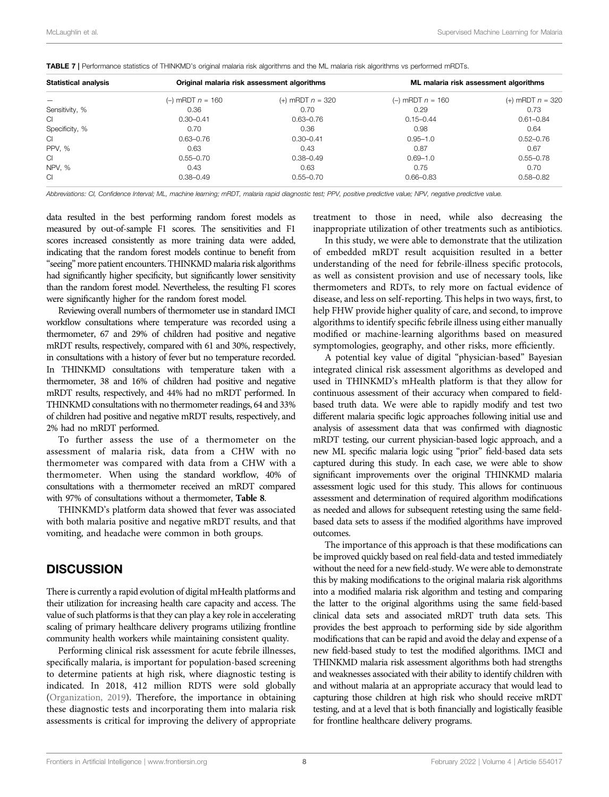| Statistical analysis     | Original malaria risk assessment algorithms |                    | ML malaria risk assessment algorithms |                    |
|--------------------------|---------------------------------------------|--------------------|---------------------------------------|--------------------|
| $\overline{\phantom{0}}$ | (-) mRDT $n = 160$                          | (+) mRDT $n = 320$ | $(-)$ mRDT $n = 160$                  | (+) mRDT $n = 320$ |
| Sensitivity, %           | 0.36                                        | 0.70               | 0.29                                  | 0.73               |
| СI                       | $0.30 - 0.41$                               | $0.63 - 0.76$      | $0.15 - 0.44$                         | $0.61 - 0.84$      |
| Specificity, %           | 0.70                                        | 0.36               | 0.98                                  | 0.64               |
| СI                       | $0.63 - 0.76$                               | $0.30 - 0.41$      | $0.95 - 1.0$                          | $0.52 - 0.76$      |
| PPV, %                   | 0.63                                        | 0.43               | 0.87                                  | 0.67               |
| СI                       | $0.55 - 0.70$                               | $0.38 - 0.49$      | $0.69 - 1.0$                          | $0.55 - 0.78$      |
| NPV, %                   | 0.43                                        | 0.63               | 0.75                                  | 0.70               |
| СI                       | $0.38 - 0.49$                               | $0.55 - 0.70$      | $0.66 - 0.83$                         | $0.58 - 0.82$      |

<span id="page-7-0"></span>TABLE 7 | Performance statistics of THINKMD's original malaria risk algorithms and the ML malaria risk algorithms vs performed mRDTs.

Abbreviations: CI, Confidence Interval; ML, machine learning; mRDT, malaria rapid diagnostic test; PPV, positive predictive value; NPV, negative predictive value.

data resulted in the best performing random forest models as measured by out-of-sample F1 scores. The sensitivities and F1 scores increased consistently as more training data were added, indicating that the random forest models continue to benefit from "seeing" more patient encounters. THINKMD malaria risk algorithms had significantly higher specificity, but significantly lower sensitivity than the random forest model. Nevertheless, the resulting F1 scores were significantly higher for the random forest model.

Reviewing overall numbers of thermometer use in standard IMCI workflow consultations where temperature was recorded using a thermometer, 67 and 29% of children had positive and negative mRDT results, respectively, compared with 61 and 30%, respectively, in consultations with a history of fever but no temperature recorded. In THINKMD consultations with temperature taken with a thermometer, 38 and 16% of children had positive and negative mRDT results, respectively, and 44% had no mRDT performed. In THINKMD consultations with no thermometer readings, 64 and 33% of children had positive and negative mRDT results, respectively, and 2% had no mRDT performed.

To further assess the use of a thermometer on the assessment of malaria risk, data from a CHW with no thermometer was compared with data from a CHW with a thermometer. When using the standard workflow, 40% of consultations with a thermometer received an mRDT compared with 97% of consultations without a thermometer, [Table 8](#page-8-0).

THINKMD's platform data showed that fever was associated with both malaria positive and negative mRDT results, and that vomiting, and headache were common in both groups.

## **DISCUSSION**

There is currently a rapid evolution of digital mHealth platforms and their utilization for increasing health care capacity and access. The value of such platforms is that they can play a key role in accelerating scaling of primary healthcare delivery programs utilizing frontline community health workers while maintaining consistent quality.

Performing clinical risk assessment for acute febrile illnesses, specifically malaria, is important for population-based screening to determine patients at high risk, where diagnostic testing is indicated. In 2018, 412 million RDTS were sold globally ([Organization, 2019](#page-10-0)). Therefore, the importance in obtaining these diagnostic tests and incorporating them into malaria risk assessments is critical for improving the delivery of appropriate treatment to those in need, while also decreasing the inappropriate utilization of other treatments such as antibiotics.

In this study, we were able to demonstrate that the utilization of embedded mRDT result acquisition resulted in a better understanding of the need for febrile-illness specific protocols, as well as consistent provision and use of necessary tools, like thermometers and RDTs, to rely more on factual evidence of disease, and less on self-reporting. This helps in two ways, first, to help FHW provide higher quality of care, and second, to improve algorithms to identify specific febrile illness using either manually modified or machine-learning algorithms based on measured symptomologies, geography, and other risks, more efficiently.

A potential key value of digital "physician-based" Bayesian integrated clinical risk assessment algorithms as developed and used in THINKMD's mHealth platform is that they allow for continuous assessment of their accuracy when compared to fieldbased truth data. We were able to rapidly modify and test two different malaria specific logic approaches following initial use and analysis of assessment data that was confirmed with diagnostic mRDT testing, our current physician-based logic approach, and a new ML specific malaria logic using "prior" field-based data sets captured during this study. In each case, we were able to show significant improvements over the original THINKMD malaria assessment logic used for this study. This allows for continuous assessment and determination of required algorithm modifications as needed and allows for subsequent retesting using the same fieldbased data sets to assess if the modified algorithms have improved outcomes.

The importance of this approach is that these modifications can be improved quickly based on real field-data and tested immediately without the need for a new field-study. We were able to demonstrate this by making modifications to the original malaria risk algorithms into a modified malaria risk algorithm and testing and comparing the latter to the original algorithms using the same field-based clinical data sets and associated mRDT truth data sets. This provides the best approach to performing side by side algorithm modifications that can be rapid and avoid the delay and expense of a new field-based study to test the modified algorithms. IMCI and THINKMD malaria risk assessment algorithms both had strengths and weaknesses associated with their ability to identify children with and without malaria at an appropriate accuracy that would lead to capturing those children at high risk who should receive mRDT testing, and at a level that is both financially and logistically feasible for frontline healthcare delivery programs.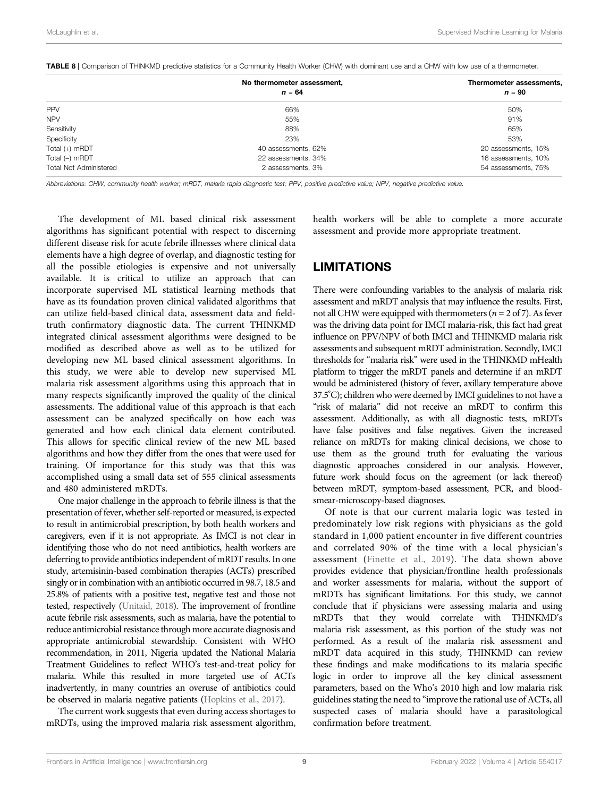|                               | No thermometer assessment,<br>$n = 64$ | Thermometer assessments,<br>$n = 90$ |
|-------------------------------|----------------------------------------|--------------------------------------|
| PPV                           | 66%                                    | 50%                                  |
| <b>NPV</b>                    | 55%                                    | 91%                                  |
| Sensitivity                   | 88%                                    | 65%                                  |
| Specificity                   | 23%                                    | 53%                                  |
| Total (+) mRDT                | 40 assessments, 62%                    | 20 assessments, 15%                  |
| Total (-) mRDT                | 22 assessments, 34%                    | 16 assessments, 10%                  |
| <b>Total Not Administered</b> | 2 assessments, 3%                      | 54 assessments, 75%                  |

<span id="page-8-0"></span>TABLE 8 | Comparison of THINKMD predictive statistics for a Community Health Worker (CHW) with dominant use and a CHW with low use of a thermometer.

Abbreviations: CHW, community health worker; mRDT, malaria rapid diagnostic test; PPV, positive predictive value; NPV, negative predictive value.

The development of ML based clinical risk assessment algorithms has significant potential with respect to discerning different disease risk for acute febrile illnesses where clinical data elements have a high degree of overlap, and diagnostic testing for all the possible etiologies is expensive and not universally available. It is critical to utilize an approach that can incorporate supervised ML statistical learning methods that have as its foundation proven clinical validated algorithms that can utilize field-based clinical data, assessment data and fieldtruth confirmatory diagnostic data. The current THINKMD integrated clinical assessment algorithms were designed to be modified as described above as well as to be utilized for developing new ML based clinical assessment algorithms. In this study, we were able to develop new supervised ML malaria risk assessment algorithms using this approach that in many respects significantly improved the quality of the clinical assessments. The additional value of this approach is that each assessment can be analyzed specifically on how each was generated and how each clinical data element contributed. This allows for specific clinical review of the new ML based algorithms and how they differ from the ones that were used for training. Of importance for this study was that this was accomplished using a small data set of 555 clinical assessments and 480 administered mRDTs.

One major challenge in the approach to febrile illness is that the presentation of fever, whether self-reported or measured, is expected to result in antimicrobial prescription, by both health workers and caregivers, even if it is not appropriate. As IMCI is not clear in identifying those who do not need antibiotics, health workers are deferring to provide antibiotics independent of mRDT results. In one study, artemisinin-based combination therapies (ACTs) prescribed singly or in combination with an antibiotic occurred in 98.7, 18.5 and 25.8% of patients with a positive test, negative test and those not tested, respectively [\(Unitaid, 2018](#page-10-2)). The improvement of frontline acute febrile risk assessments, such as malaria, have the potential to reduce antimicrobial resistance through more accurate diagnosis and appropriate antimicrobial stewardship. Consistent with WHO recommendation, in 2011, Nigeria updated the National Malaria Treatment Guidelines to reflect WHO's test-and-treat policy for malaria. While this resulted in more targeted use of ACTs inadvertently, in many countries an overuse of antibiotics could be observed in malaria negative patients [\(Hopkins et al., 2017\)](#page-9-10).

The current work suggests that even during access shortages to mRDTs, using the improved malaria risk assessment algorithm, health workers will be able to complete a more accurate assessment and provide more appropriate treatment.

## LIMITATIONS

There were confounding variables to the analysis of malaria risk assessment and mRDT analysis that may influence the results. First, not all CHW were equipped with thermometers ( $n = 2$  of 7). As fever was the driving data point for IMCI malaria-risk, this fact had great influence on PPV/NPV of both IMCI and THINKMD malaria risk assessments and subsequent mRDT administration. Secondly, IMCI thresholds for "malaria risk" were used in the THINKMD mHealth platform to trigger the mRDT panels and determine if an mRDT would be administered (history of fever, axillary temperature above 37.5°C); children who were deemed by IMCI guidelines to not have a "risk of malaria" did not receive an mRDT to confirm this assessment. Additionally, as with all diagnostic tests, mRDTs have false positives and false negatives. Given the increased reliance on mRDTs for making clinical decisions, we chose to use them as the ground truth for evaluating the various diagnostic approaches considered in our analysis. However, future work should focus on the agreement (or lack thereof) between mRDT, symptom-based assessment, PCR, and bloodsmear-microscopy-based diagnoses.

Of note is that our current malaria logic was tested in predominately low risk regions with physicians as the gold standard in 1,000 patient encounter in five different countries and correlated 90% of the time with a local physician's assessment ([Finette et al., 2019\)](#page-9-6). The data shown above provides evidence that physician/frontline health professionals and worker assessments for malaria, without the support of mRDTs has significant limitations. For this study, we cannot conclude that if physicians were assessing malaria and using mRDTs that they would correlate with THINKMD's malaria risk assessment, as this portion of the study was not performed. As a result of the malaria risk assessment and mRDT data acquired in this study, THINKMD can review these findings and make modifications to its malaria specific logic in order to improve all the key clinical assessment parameters, based on the Who's 2010 high and low malaria risk guidelines stating the need to "improve the rational use of ACTs, all suspected cases of malaria should have a parasitological confirmation before treatment.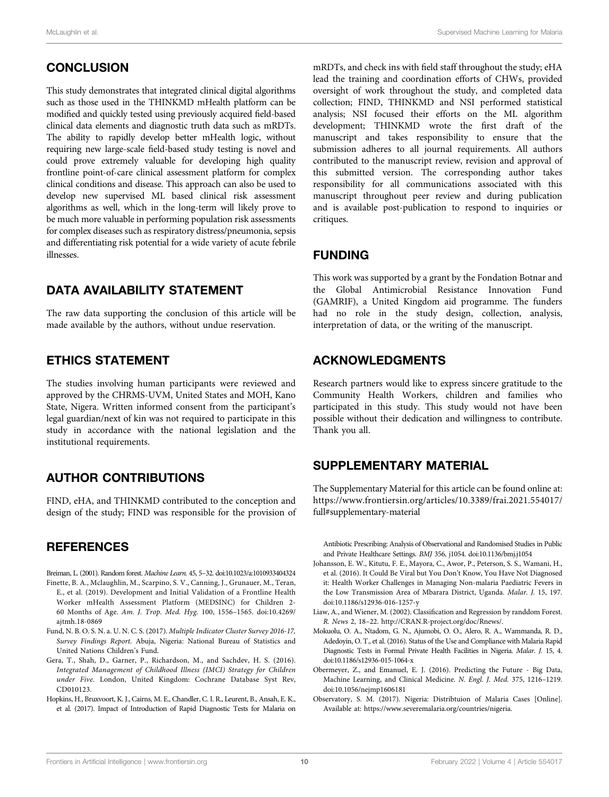### **CONCLUSION**

This study demonstrates that integrated clinical digital algorithms such as those used in the THINKMD mHealth platform can be modified and quickly tested using previously acquired field-based clinical data elements and diagnostic truth data such as mRDTs. The ability to rapidly develop better mHealth logic, without requiring new large-scale field-based study testing is novel and could prove extremely valuable for developing high quality frontline point-of-care clinical assessment platform for complex clinical conditions and disease. This approach can also be used to develop new supervised ML based clinical risk assessment algorithms as well, which in the long-term will likely prove to be much more valuable in performing population risk assessments for complex diseases such as respiratory distress/pneumonia, sepsis and differentiating risk potential for a wide variety of acute febrile illnesses.

### DATA AVAILABILITY STATEMENT

The raw data supporting the conclusion of this article will be made available by the authors, without undue reservation.

#### ETHICS STATEMENT

The studies involving human participants were reviewed and approved by the CHRMS-UVM, United States and MOH, Kano State, Nigera. Written informed consent from the participant's legal guardian/next of kin was not required to participate in this study in accordance with the national legislation and the institutional requirements.

#### AUTHOR CONTRIBUTIONS

FIND, eHA, and THINKMD contributed to the conception and design of the study; FIND was responsible for the provision of

#### **REFERENCES**

- <span id="page-9-8"></span><span id="page-9-6"></span>Breiman, L. (2001). Random forest. Machine Learn. 45, 5–32. doi[:10.1023/a:1010933404324](https://doi.org/10.1023/a:1010933404324) Finette, B. A., Mclaughlin, M., Scarpino, S. V., Canning, J., Grunauer, M., Teran,
- E., et al. (2019). Development and Initial Validation of a Frontline Health Worker mHealth Assessment Platform (MEDSINC) for Children 2- 60 Months of Age. Am. J. Trop. Med. Hyg. 100, 1556–1565. doi:[10.4269/](https://doi.org/10.4269/ajtmh.18-0869) [ajtmh.18-0869](https://doi.org/10.4269/ajtmh.18-0869)
- <span id="page-9-1"></span>Fund, N. B. O. S. N. a. U. N. C. S. (2017). Multiple Indicator Cluster Survey 2016-17, Survey Findings Report. Abuja, Nigeria: National Bureau of Statistics and United Nations Children's Fund.
- <span id="page-9-2"></span>Gera, T., Shah, D., Garner, P., Richardson, M., and Sachdev, H. S. (2016). Integrated Management of Childhood Illness (IMCI) Strategy for Children under Five. London, United Kingdom: Cochrane Database Syst Rev, CD010123.
- <span id="page-9-10"></span>Hopkins, H., Bruxvoort, K. J., Cairns, M. E., Chandler, C. I. R., Leurent, B., Ansah, E. K., et al. (2017). Impact of Introduction of Rapid Diagnostic Tests for Malaria on

mRDTs, and check ins with field staff throughout the study; eHA lead the training and coordination efforts of CHWs, provided oversight of work throughout the study, and completed data collection; FIND, THINKMD and NSI performed statistical analysis; NSI focused their efforts on the ML algorithm development; THINKMD wrote the first draft of the manuscript and takes responsibility to ensure that the submission adheres to all journal requirements. All authors contributed to the manuscript review, revision and approval of this submitted version. The corresponding author takes responsibility for all communications associated with this manuscript throughout peer review and during publication and is available post-publication to respond to inquiries or critiques.

#### FUNDING

This work was supported by a grant by the Fondation Botnar and the Global Antimicrobial Resistance Innovation Fund (GAMRIF), a United Kingdom aid programme. The funders had no role in the study design, collection, analysis, interpretation of data, or the writing of the manuscript.

#### <span id="page-9-9"></span>ACKNOWLEDGMENTS

Research partners would like to express sincere gratitude to the Community Health Workers, children and families who participated in this study. This study would not have been possible without their dedication and willingness to contribute. Thank you all.

#### SUPPLEMENTARY MATERIAL

The Supplementary Material for this article can be found online at: [https://www.frontiersin.org/articles/10.3389/frai.2021.554017/](https://www.frontiersin.org/articles/10.3389/frai.2021.554017/full#supplementary-material) [full#supplementary-material](https://www.frontiersin.org/articles/10.3389/frai.2021.554017/full#supplementary-material)

Antibiotic Prescribing: Analysis of Observational and Randomised Studies in Public and Private Healthcare Settings. BMJ 356, j1054. doi:[10.1136/bmj.j1054](https://doi.org/10.1136/bmj.j1054)

- <span id="page-9-4"></span>Johansson, E. W., Kitutu, F. E., Mayora, C., Awor, P., Peterson, S. S., Wamani, H., et al. (2016). It Could Be Viral but You Don't Know, You Have Not Diagnosed it: Health Worker Challenges in Managing Non-malaria Paediatric Fevers in the Low Transmission Area of Mbarara District, Uganda. Malar. J. 15, 197. doi[:10.1186/s12936-016-1257-y](https://doi.org/10.1186/s12936-016-1257-y)
- <span id="page-9-7"></span>Liaw, A., and Wiener, M. (2002). Classification and Regression by randdom Forest. R. News 2, 18–22. [http://CRAN.R-project.org/doc/Rnews/.](http://CRAN.R-project.org/doc/Rnews/)
- <span id="page-9-3"></span>Mokuolu, O. A., Ntadom, G. N., Ajumobi, O. O., Alero, R. A., Wammanda, R. D., Adedoyin, O. T., et al. (2016). Status of the Use and Compliance with Malaria Rapid Diagnostic Tests in Formal Private Health Facilities in Nigeria. Malar. J. 15, 4. doi:[10.1186/s12936-015-1064-x](https://doi.org/10.1186/s12936-015-1064-x)
- <span id="page-9-5"></span>Obermeyer, Z., and Emanuel, E. J. (2016). Predicting the Future - Big Data, Machine Learning, and Clinical Medicine. N. Engl. J. Med. 375, 1216–1219. doi[:10.1056/nejmp1606181](https://doi.org/10.1056/nejmp1606181)
- <span id="page-9-0"></span>Observatory, S. M. (2017). Nigeria: Distribtuion of Malaria Cases [Online]. Available at:<https://www.severemalaria.org/countries/nigeria>.